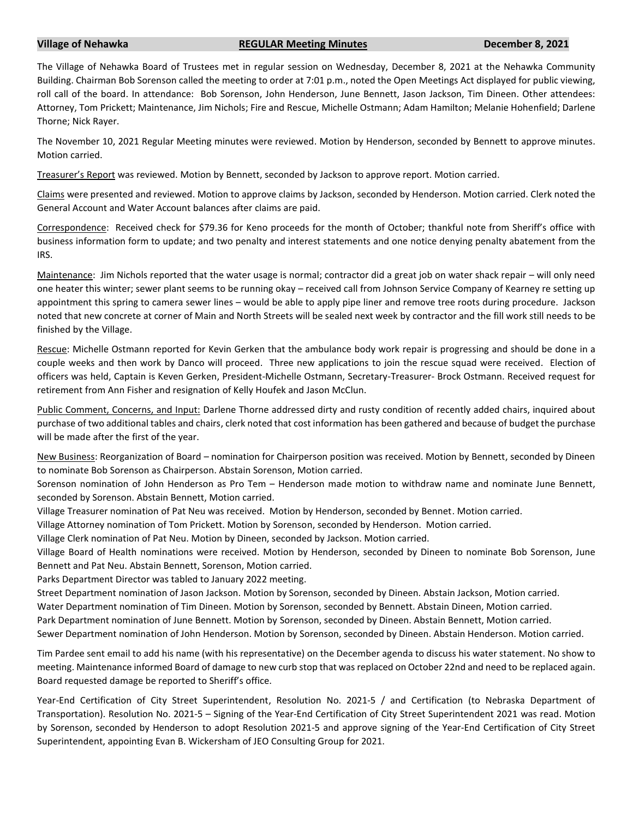## **Village of Nehawka REGULAR Meeting Minutes December 8, 2021**

The Village of Nehawka Board of Trustees met in regular session on Wednesday, December 8, 2021 at the Nehawka Community Building. Chairman Bob Sorenson called the meeting to order at 7:01 p.m., noted the Open Meetings Act displayed for public viewing, roll call of the board. In attendance: Bob Sorenson, John Henderson, June Bennett, Jason Jackson, Tim Dineen. Other attendees: Attorney, Tom Prickett; Maintenance, Jim Nichols; Fire and Rescue, Michelle Ostmann; Adam Hamilton; Melanie Hohenfield; Darlene Thorne; Nick Rayer.

The November 10, 2021 Regular Meeting minutes were reviewed. Motion by Henderson, seconded by Bennett to approve minutes. Motion carried.

Treasurer's Report was reviewed. Motion by Bennett, seconded by Jackson to approve report. Motion carried.

Claims were presented and reviewed. Motion to approve claims by Jackson, seconded by Henderson. Motion carried. Clerk noted the General Account and Water Account balances after claims are paid.

Correspondence: Received check for \$79.36 for Keno proceeds for the month of October; thankful note from Sheriff's office with business information form to update; and two penalty and interest statements and one notice denying penalty abatement from the IRS.

Maintenance: Jim Nichols reported that the water usage is normal; contractor did a great job on water shack repair – will only need one heater this winter; sewer plant seems to be running okay – received call from Johnson Service Company of Kearney re setting up appointment this spring to camera sewer lines – would be able to apply pipe liner and remove tree roots during procedure. Jackson noted that new concrete at corner of Main and North Streets will be sealed next week by contractor and the fill work still needs to be finished by the Village.

Rescue: Michelle Ostmann reported for Kevin Gerken that the ambulance body work repair is progressing and should be done in a couple weeks and then work by Danco will proceed. Three new applications to join the rescue squad were received. Election of officers was held, Captain is Keven Gerken, President-Michelle Ostmann, Secretary-Treasurer- Brock Ostmann. Received request for retirement from Ann Fisher and resignation of Kelly Houfek and Jason McClun.

Public Comment, Concerns, and Input: Darlene Thorne addressed dirty and rusty condition of recently added chairs, inquired about purchase of two additional tables and chairs, clerk noted that cost information has been gathered and because of budget the purchase will be made after the first of the year.

New Business: Reorganization of Board – nomination for Chairperson position was received. Motion by Bennett, seconded by Dineen to nominate Bob Sorenson as Chairperson. Abstain Sorenson, Motion carried.

Sorenson nomination of John Henderson as Pro Tem – Henderson made motion to withdraw name and nominate June Bennett, seconded by Sorenson. Abstain Bennett, Motion carried.

Village Treasurer nomination of Pat Neu was received. Motion by Henderson, seconded by Bennet. Motion carried.

Village Attorney nomination of Tom Prickett. Motion by Sorenson, seconded by Henderson. Motion carried.

Village Clerk nomination of Pat Neu. Motion by Dineen, seconded by Jackson. Motion carried.

Village Board of Health nominations were received. Motion by Henderson, seconded by Dineen to nominate Bob Sorenson, June Bennett and Pat Neu. Abstain Bennett, Sorenson, Motion carried.

Parks Department Director was tabled to January 2022 meeting.

Street Department nomination of Jason Jackson. Motion by Sorenson, seconded by Dineen. Abstain Jackson, Motion carried.

Water Department nomination of Tim Dineen. Motion by Sorenson, seconded by Bennett. Abstain Dineen, Motion carried.

Park Department nomination of June Bennett. Motion by Sorenson, seconded by Dineen. Abstain Bennett, Motion carried.

Sewer Department nomination of John Henderson. Motion by Sorenson, seconded by Dineen. Abstain Henderson. Motion carried.

Tim Pardee sent email to add his name (with his representative) on the December agenda to discuss his water statement. No show to meeting. Maintenance informed Board of damage to new curb stop that was replaced on October 22nd and need to be replaced again. Board requested damage be reported to Sheriff's office.

Year-End Certification of City Street Superintendent, Resolution No. 2021-5 / and Certification (to Nebraska Department of Transportation). Resolution No. 2021-5 – Signing of the Year-End Certification of City Street Superintendent 2021 was read. Motion by Sorenson, seconded by Henderson to adopt Resolution 2021-5 and approve signing of the Year-End Certification of City Street Superintendent, appointing Evan B. Wickersham of JEO Consulting Group for 2021.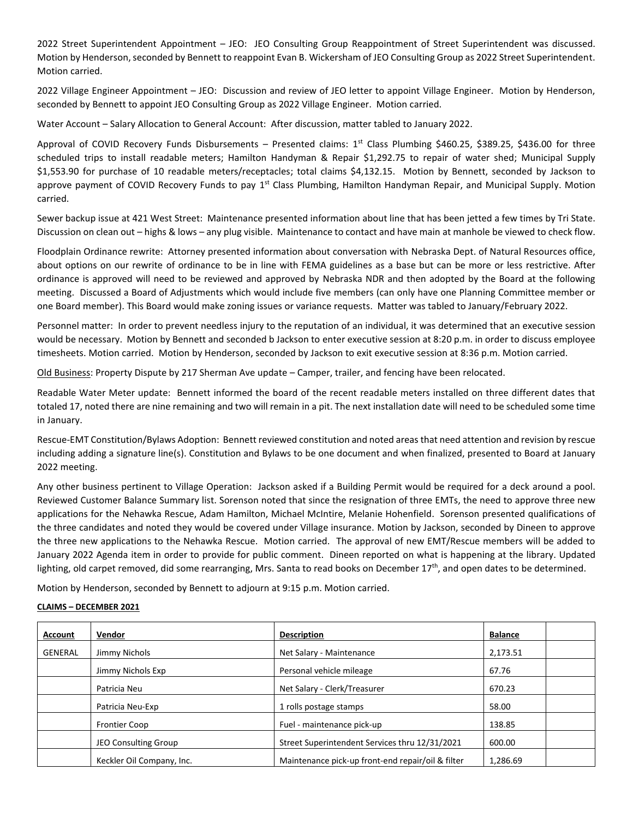2022 Street Superintendent Appointment – JEO: JEO Consulting Group Reappointment of Street Superintendent was discussed. Motion by Henderson, seconded by Bennett to reappoint Evan B. Wickersham of JEO Consulting Group as 2022 Street Superintendent. Motion carried.

2022 Village Engineer Appointment – JEO: Discussion and review of JEO letter to appoint Village Engineer. Motion by Henderson, seconded by Bennett to appoint JEO Consulting Group as 2022 Village Engineer. Motion carried.

Water Account – Salary Allocation to General Account: After discussion, matter tabled to January 2022.

Approval of COVID Recovery Funds Disbursements – Presented claims: 1<sup>st</sup> Class Plumbing \$460.25, \$389.25, \$436.00 for three scheduled trips to install readable meters; Hamilton Handyman & Repair \$1,292.75 to repair of water shed; Municipal Supply \$1,553.90 for purchase of 10 readable meters/receptacles; total claims \$4,132.15. Motion by Bennett, seconded by Jackson to approve payment of COVID Recovery Funds to pay 1<sup>st</sup> Class Plumbing, Hamilton Handyman Repair, and Municipal Supply. Motion carried.

Sewer backup issue at 421 West Street: Maintenance presented information about line that has been jetted a few times by Tri State. Discussion on clean out – highs & lows – any plug visible. Maintenance to contact and have main at manhole be viewed to check flow.

Floodplain Ordinance rewrite: Attorney presented information about conversation with Nebraska Dept. of Natural Resources office, about options on our rewrite of ordinance to be in line with FEMA guidelines as a base but can be more or less restrictive. After ordinance is approved will need to be reviewed and approved by Nebraska NDR and then adopted by the Board at the following meeting. Discussed a Board of Adjustments which would include five members (can only have one Planning Committee member or one Board member). This Board would make zoning issues or variance requests. Matter was tabled to January/February 2022.

Personnel matter: In order to prevent needless injury to the reputation of an individual, it was determined that an executive session would be necessary. Motion by Bennett and seconded b Jackson to enter executive session at 8:20 p.m. in order to discuss employee timesheets. Motion carried. Motion by Henderson, seconded by Jackson to exit executive session at 8:36 p.m. Motion carried.

Old Business: Property Dispute by 217 Sherman Ave update – Camper, trailer, and fencing have been relocated.

Readable Water Meter update: Bennett informed the board of the recent readable meters installed on three different dates that totaled 17, noted there are nine remaining and two will remain in a pit. The next installation date will need to be scheduled some time in January.

Rescue-EMT Constitution/Bylaws Adoption: Bennett reviewed constitution and noted areas that need attention and revision by rescue including adding a signature line(s). Constitution and Bylaws to be one document and when finalized, presented to Board at January 2022 meeting.

Any other business pertinent to Village Operation: Jackson asked if a Building Permit would be required for a deck around a pool. Reviewed Customer Balance Summary list. Sorenson noted that since the resignation of three EMTs, the need to approve three new applications for the Nehawka Rescue, Adam Hamilton, Michael McIntire, Melanie Hohenfield. Sorenson presented qualifications of the three candidates and noted they would be covered under Village insurance. Motion by Jackson, seconded by Dineen to approve the three new applications to the Nehawka Rescue. Motion carried. The approval of new EMT/Rescue members will be added to January 2022 Agenda item in order to provide for public comment. Dineen reported on what is happening at the library. Updated lighting, old carpet removed, did some rearranging, Mrs. Santa to read books on December 17<sup>th</sup>, and open dates to be determined.

Motion by Henderson, seconded by Bennett to adjourn at 9:15 p.m. Motion carried.

## **CLAIMS – DECEMBER 2021**

| <b>Account</b> | Vendor                    | <b>Description</b>                                | <b>Balance</b> |
|----------------|---------------------------|---------------------------------------------------|----------------|
| GENERAL        | Jimmy Nichols             | Net Salary - Maintenance                          | 2,173.51       |
|                | Jimmy Nichols Exp         | Personal vehicle mileage                          | 67.76          |
|                | Patricia Neu              | Net Salary - Clerk/Treasurer                      | 670.23         |
|                | Patricia Neu-Exp          | 1 rolls postage stamps                            | 58.00          |
|                | <b>Frontier Coop</b>      | Fuel - maintenance pick-up                        | 138.85         |
|                | JEO Consulting Group      | Street Superintendent Services thru 12/31/2021    | 600.00         |
|                | Keckler Oil Company, Inc. | Maintenance pick-up front-end repair/oil & filter | 1,286.69       |